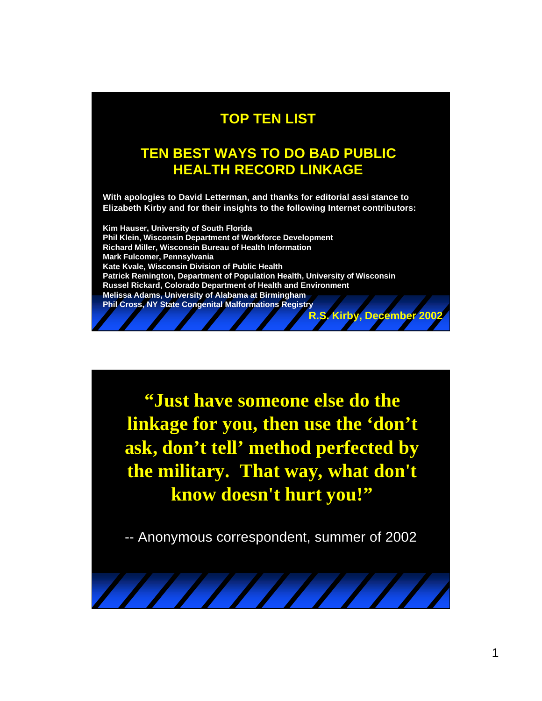#### **TOP TEN LIST**

#### **TEN BEST WAYS TO DO BAD PUBLIC HEALTH RECORD LINKAGE**

**With apologies to David Letterman, and thanks for editorial assi stance to Elizabeth Kirby and for their insights to the following Internet contributors:** 

**Kim Hauser, University of South Florida Phil Klein, Wisconsin Department of Workforce Development Richard Miller, Wisconsin Bureau of Health Information Mark Fulcomer, Pennsylvania Kate Kvale, Wisconsin Division of Public Health Patrick Remington, Department of Population Health, University of Wisconsin Russel Rickard, Colorado Department of Health and Environment Melissa Adams, University of Alabama at Birmingham Phil Cross, NY State Congenital Malformations Registry R.S. Kirby, December 2002**

**"Just have someone else do the linkage for you, then use the 'don't ask, don't tell' method perfected by the military. That way, what don't know doesn't hurt you!"**

-- Anonymous correspondent, summer of 2002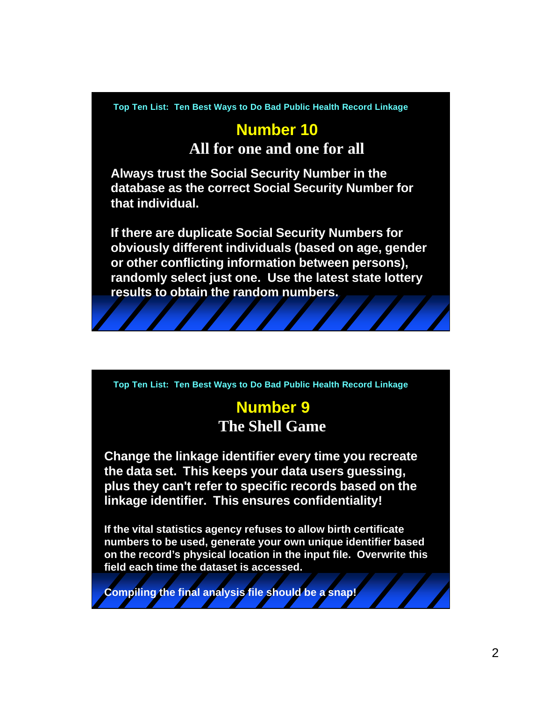# **Number 10**

**All for one and one for all**

**Always trust the Social Security Number in the database as the correct Social Security Number for that individual.** 

**If there are duplicate Social Security Numbers for obviously different individuals (based on age, gender or other conflicting information between persons), randomly select just one. Use the latest state lottery results to obtain the random numbers.**

**Top Ten List: Ten Best Ways to Do Bad Public Health Record Linkage**

#### **Number 9 The Shell Game**

**Change the linkage identifier every time you recreate the data set. This keeps your data users guessing, plus they can't refer to specific records based on the linkage identifier. This ensures confidentiality!**

**If the vital statistics agency refuses to allow birth certificate numbers to be used, generate your own unique identifier based on the record's physical location in the input file. Overwrite this field each time the dataset is accessed.**

**Compiling the final analysis file should be a snap!**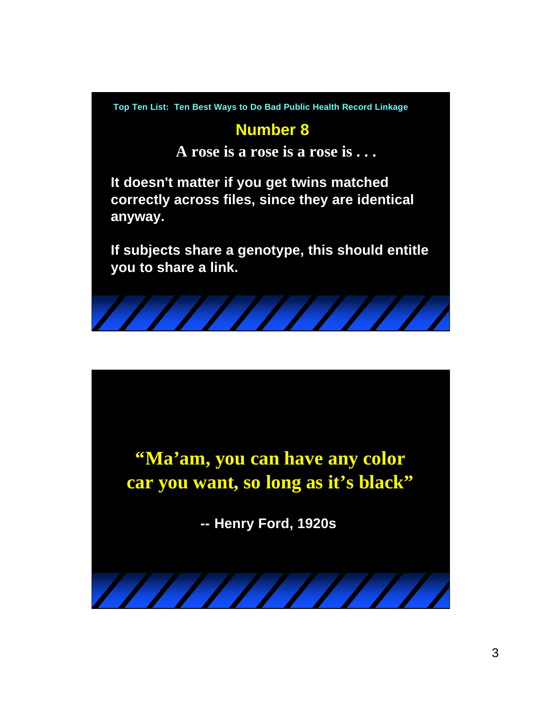### **Number 8**

**A rose is a rose is a rose is . . .**

**It doesn't matter if you get twins matched correctly across files, since they are identical anyway.**

**If subjects share a genotype, this should entitle you to share a link.**



**"Ma'am, you can have any color car you want, so long as it's black"**

**-- Henry Ford, 1920s**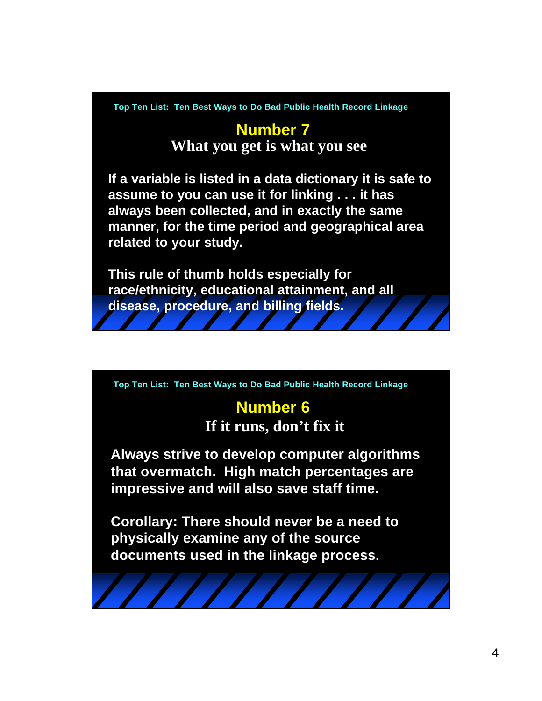#### **Number 7 What you get is what you see**

**If a variable is listed in a data dictionary it is safe to assume to you can use it for linking . . . it has always been collected, and in exactly the same manner, for the time period and geographical area related to your study.**

**This rule of thumb holds especially for race/ethnicity, educational attainment, and all disease, procedure, and billing fields.**

**Top Ten List: Ten Best Ways to Do Bad Public Health Record Linkage**

#### **Number 6**

**If it runs, don't fix it**

**Always strive to develop computer algorithms that overmatch. High match percentages are impressive and will also save staff time.**

**Corollary: There should never be a need to physically examine any of the source documents used in the linkage process.**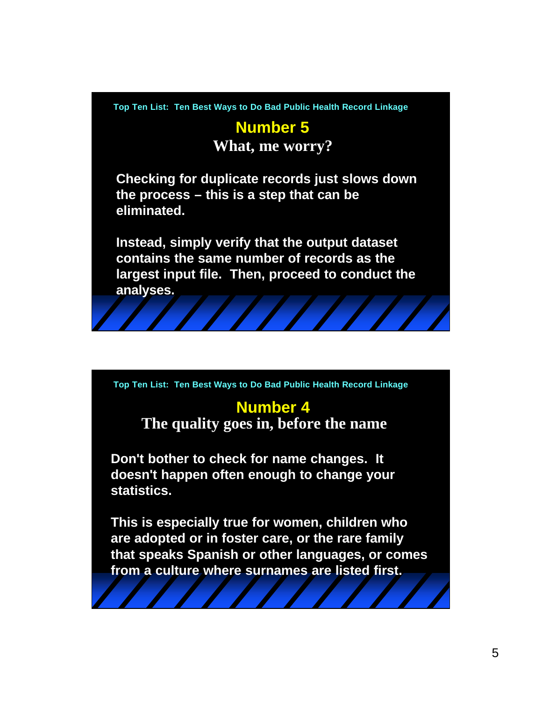# **Number 5**

**What, me worry?**

**Checking for duplicate records just slows down the process – this is a step that can be eliminated.** 

**Instead, simply verify that the output dataset contains the same number of records as the largest input file. Then, proceed to conduct the analyses.**

**Top Ten List: Ten Best Ways to Do Bad Public Health Record Linkage**

#### **Number 4**

**The quality goes in, before the name**

**Don't bother to check for name changes. It doesn't happen often enough to change your statistics.** 

**This is especially true for women, children who are adopted or in foster care, or the rare family that speaks Spanish or other languages, or comes from a culture where surnames are listed first.**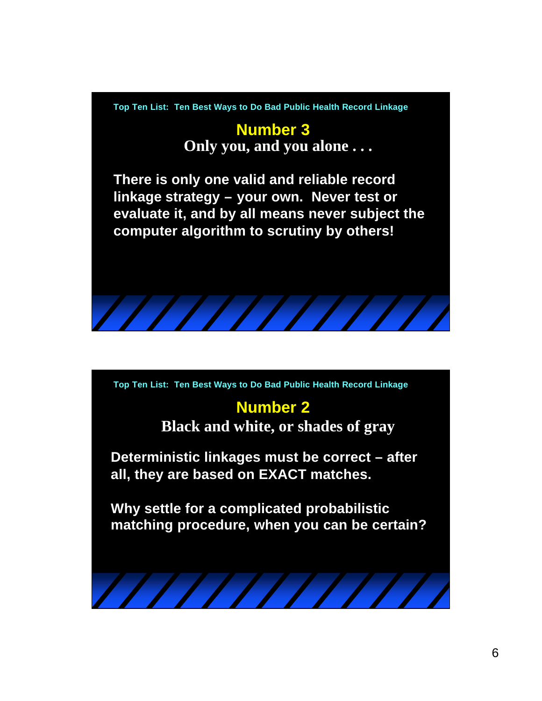#### **Number 3 Only you, and you alone . . .**

**There is only one valid and reliable record linkage strategy – your own. Never test or evaluate it, and by all means never subject the computer algorithm to scrutiny by others!**



#### **Number 2**

**Black and white, or shades of gray**

**Deterministic linkages must be correct – after all, they are based on EXACT matches.**

**Why settle for a complicated probabilistic matching procedure, when you can be certain?**